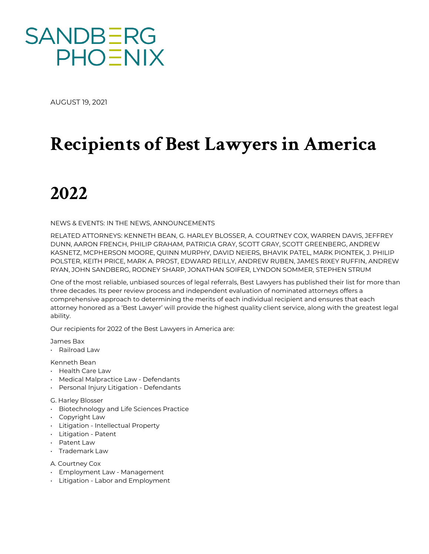

AUGUST 19, 2021

# **Recipients of Best Lawyers in America**

# **2022**

NEWS & EVENTS: IN THE NEWS, ANNOUNCEMENTS

RELATED ATTORNEYS: KENNETH BEAN, G. HARLEY BLOSSER, A. COURTNEY COX, WARREN DAVIS, JEFFREY DUNN, AARON FRENCH, PHILIP GRAHAM, PATRICIA GRAY, SCOTT GRAY, SCOTT GREENBERG, ANDREW KASNETZ, MCPHERSON MOORE, QUINN MURPHY, DAVID NEIERS, BHAVIK PATEL, MARK PIONTEK, J. PHILIP POLSTER, KEITH PRICE, MARK A. PROST, EDWARD REILLY, ANDREW RUBEN, JAMES RIXEY RUFFIN, ANDREW RYAN, JOHN SANDBERG, RODNEY SHARP, JONATHAN SOIFER, LYNDON SOMMER, STEPHEN STRUM

One of the most reliable, unbiased sources of legal referrals, Best Lawyers has published their list for more than three decades. Its peer review process and independent evaluation of nominated attorneys offers a comprehensive approach to determining the merits of each individual recipient and ensures that each attorney honored as a 'Best Lawyer' will provide the highest quality client service, along with the greatest legal ability.

Our recipients for 2022 of the Best Lawyers in America are:

James Bax

• Railroad Law

Kenneth Bean

- Health Care Law
- Medical Malpractice Law Defendants
- Personal Injury Litigation Defendants
- G. Harley Blosser
- Biotechnology and Life Sciences Practice
- Copyright Law
- Litigation Intellectual Property
- Litigation Patent
- Patent Law
- Trademark Law
- A. Courtney Cox
- Employment Law Management
- Litigation Labor and Employment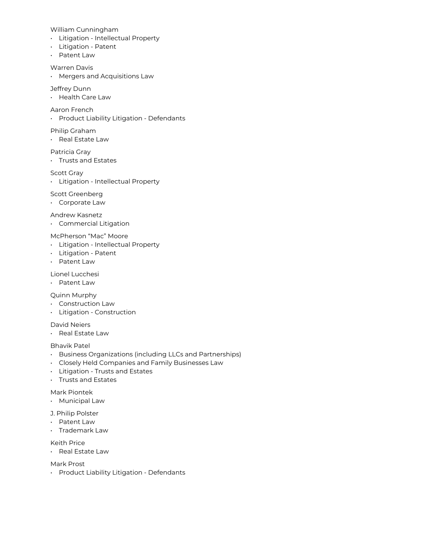William Cunningham

- Litigation Intellectual Property
- Litigation Patent
- Patent Law

Warren Davis

• Mergers and Acquisitions Law

### Jeffrey Dunn

• Health Care Law

# Aaron French

• Product Liability Litigation - Defendants

### Philip Graham

• Real Estate Law

#### Patricia Gray

• Trusts and Estates

#### Scott Gray

• Litigation - Intellectual Property

#### Scott Greenberg

• Corporate Law

## Andrew Kasnetz

• Commercial Litigation

## McPherson "Mac" Moore

- Litigation Intellectual Property
- Litigation Patent
- Patent Law

# Lionel Lucchesi

• Patent Law

#### Quinn Murphy

- Construction Law
- Litigation Construction

## David Neiers

• Real Estate Law

# Bhavik Patel

- Business Organizations (including LLCs and Partnerships)
- Closely Held Companies and Family Businesses Law
- Litigation Trusts and Estates
- Trusts and Estates

## Mark Piontek

- Municipal Law
- J. Philip Polster
- Patent Law
- Trademark Law

Keith Price

• Real Estate Law

Mark Prost

• Product Liability Litigation - Defendants